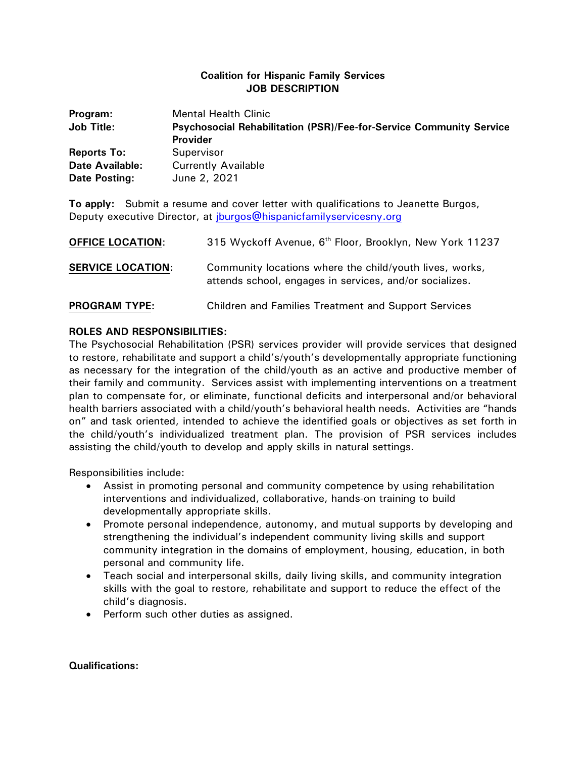## **Coalition for Hispanic Family Services JOB DESCRIPTION**

| Program:               | <b>Mental Health Clinic</b>                                         |
|------------------------|---------------------------------------------------------------------|
| <b>Job Title:</b>      | Psychosocial Rehabilitation (PSR)/Fee-for-Service Community Service |
|                        | <b>Provider</b>                                                     |
| <b>Reports To:</b>     | Supervisor                                                          |
| <b>Date Available:</b> | <b>Currently Available</b>                                          |
| Date Posting:          | June 2, 2021                                                        |

**To apply:** Submit a resume and cover letter with qualifications to Jeanette Burgos, Deputy executive Director, at [jburgos@hispanicfamilyservicesny.org](mailto:jburgos@hispanicfamilyservicesny.org)

| <b>OFFICE LOCATION:</b>  | 315 Wyckoff Avenue, 6 <sup>th</sup> Floor, Brooklyn, New York 11237                                                |
|--------------------------|--------------------------------------------------------------------------------------------------------------------|
| <b>SERVICE LOCATION:</b> | Community locations where the child/youth lives, works,<br>attends school, engages in services, and/or socializes. |
| <b>PROGRAM TYPE:</b>     | <b>Children and Families Treatment and Support Services</b>                                                        |

## **ROLES AND RESPONSIBILITIES:**

The Psychosocial Rehabilitation (PSR) services provider will provide services that designed to restore, rehabilitate and support a child's/youth's developmentally appropriate functioning as necessary for the integration of the child/youth as an active and productive member of their family and community. Services assist with implementing interventions on a treatment plan to compensate for, or eliminate, functional deficits and interpersonal and/or behavioral health barriers associated with a child/youth's behavioral health needs. Activities are "hands on" and task oriented, intended to achieve the identified goals or objectives as set forth in the child/youth's individualized treatment plan. The provision of PSR services includes assisting the child/youth to develop and apply skills in natural settings.

Responsibilities include:

- Assist in promoting personal and community competence by using rehabilitation interventions and individualized, collaborative, hands-on training to build developmentally appropriate skills.
- Promote personal independence, autonomy, and mutual supports by developing and strengthening the individual's independent community living skills and support community integration in the domains of employment, housing, education, in both personal and community life.
- Teach social and interpersonal skills, daily living skills, and community integration skills with the goal to restore, rehabilitate and support to reduce the effect of the child's diagnosis.
- Perform such other duties as assigned.

## **Qualifications:**